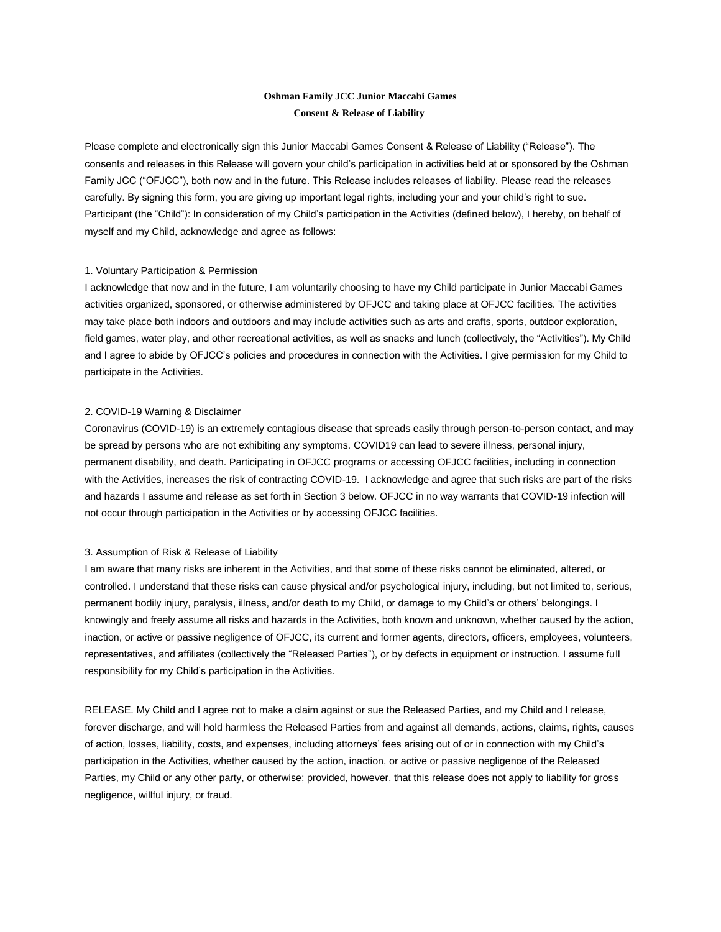# **Oshman Family JCC Junior Maccabi Games Consent & Release of Liability**

Please complete and electronically sign this Junior Maccabi Games Consent & Release of Liability ("Release"). The consents and releases in this Release will govern your child's participation in activities held at or sponsored by the Oshman Family JCC ("OFJCC"), both now and in the future. This Release includes releases of liability. Please read the releases carefully. By signing this form, you are giving up important legal rights, including your and your child's right to sue. Participant (the "Child"): In consideration of my Child's participation in the Activities (defined below), I hereby, on behalf of myself and my Child, acknowledge and agree as follows:

# 1. Voluntary Participation & Permission

I acknowledge that now and in the future, I am voluntarily choosing to have my Child participate in Junior Maccabi Games activities organized, sponsored, or otherwise administered by OFJCC and taking place at OFJCC facilities. The activities may take place both indoors and outdoors and may include activities such as arts and crafts, sports, outdoor exploration, field games, water play, and other recreational activities, as well as snacks and lunch (collectively, the "Activities"). My Child and I agree to abide by OFJCC's policies and procedures in connection with the Activities. I give permission for my Child to participate in the Activities.

## 2. COVID-19 Warning & Disclaimer

Coronavirus (COVID-19) is an extremely contagious disease that spreads easily through person-to-person contact, and may be spread by persons who are not exhibiting any symptoms. COVID19 can lead to severe illness, personal injury, permanent disability, and death. Participating in OFJCC programs or accessing OFJCC facilities, including in connection with the Activities, increases the risk of contracting COVID-19. I acknowledge and agree that such risks are part of the risks and hazards I assume and release as set forth in Section 3 below. OFJCC in no way warrants that COVID-19 infection will not occur through participation in the Activities or by accessing OFJCC facilities.

## 3. Assumption of Risk & Release of Liability

I am aware that many risks are inherent in the Activities, and that some of these risks cannot be eliminated, altered, or controlled. I understand that these risks can cause physical and/or psychological injury, including, but not limited to, serious, permanent bodily injury, paralysis, illness, and/or death to my Child, or damage to my Child's or others' belongings. I knowingly and freely assume all risks and hazards in the Activities, both known and unknown, whether caused by the action, inaction, or active or passive negligence of OFJCC, its current and former agents, directors, officers, employees, volunteers, representatives, and affiliates (collectively the "Released Parties"), or by defects in equipment or instruction. I assume full responsibility for my Child's participation in the Activities.

RELEASE. My Child and I agree not to make a claim against or sue the Released Parties, and my Child and I release, forever discharge, and will hold harmless the Released Parties from and against all demands, actions, claims, rights, causes of action, losses, liability, costs, and expenses, including attorneys' fees arising out of or in connection with my Child's participation in the Activities, whether caused by the action, inaction, or active or passive negligence of the Released Parties, my Child or any other party, or otherwise; provided, however, that this release does not apply to liability for gross negligence, willful injury, or fraud.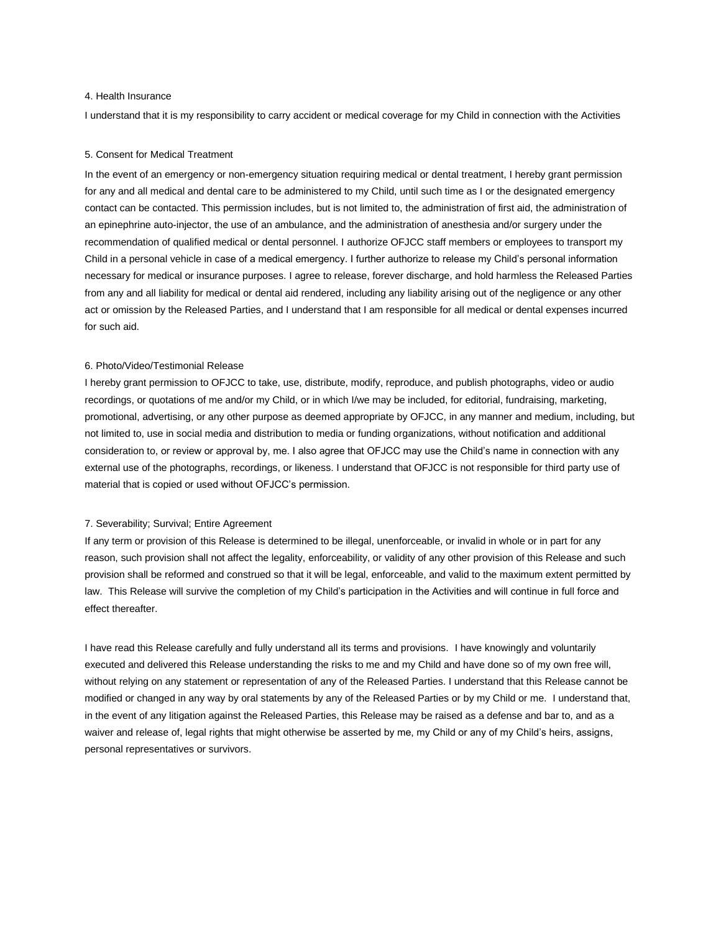## 4. Health Insurance

I understand that it is my responsibility to carry accident or medical coverage for my Child in connection with the Activities

#### 5. Consent for Medical Treatment

In the event of an emergency or non-emergency situation requiring medical or dental treatment, I hereby grant permission for any and all medical and dental care to be administered to my Child, until such time as I or the designated emergency contact can be contacted. This permission includes, but is not limited to, the administration of first aid, the administration of an epinephrine auto-injector, the use of an ambulance, and the administration of anesthesia and/or surgery under the recommendation of qualified medical or dental personnel. I authorize OFJCC staff members or employees to transport my Child in a personal vehicle in case of a medical emergency. I further authorize to release my Child's personal information necessary for medical or insurance purposes. I agree to release, forever discharge, and hold harmless the Released Parties from any and all liability for medical or dental aid rendered, including any liability arising out of the negligence or any other act or omission by the Released Parties, and I understand that I am responsible for all medical or dental expenses incurred for such aid.

## 6. Photo/Video/Testimonial Release

I hereby grant permission to OFJCC to take, use, distribute, modify, reproduce, and publish photographs, video or audio recordings, or quotations of me and/or my Child, or in which I/we may be included, for editorial, fundraising, marketing, promotional, advertising, or any other purpose as deemed appropriate by OFJCC, in any manner and medium, including, but not limited to, use in social media and distribution to media or funding organizations, without notification and additional consideration to, or review or approval by, me. I also agree that OFJCC may use the Child's name in connection with any external use of the photographs, recordings, or likeness. I understand that OFJCC is not responsible for third party use of material that is copied or used without OFJCC's permission.

### 7. Severability; Survival; Entire Agreement

If any term or provision of this Release is determined to be illegal, unenforceable, or invalid in whole or in part for any reason, such provision shall not affect the legality, enforceability, or validity of any other provision of this Release and such provision shall be reformed and construed so that it will be legal, enforceable, and valid to the maximum extent permitted by law. This Release will survive the completion of my Child's participation in the Activities and will continue in full force and effect thereafter.

I have read this Release carefully and fully understand all its terms and provisions. I have knowingly and voluntarily executed and delivered this Release understanding the risks to me and my Child and have done so of my own free will, without relying on any statement or representation of any of the Released Parties. I understand that this Release cannot be modified or changed in any way by oral statements by any of the Released Parties or by my Child or me. I understand that, in the event of any litigation against the Released Parties, this Release may be raised as a defense and bar to, and as a waiver and release of, legal rights that might otherwise be asserted by me, my Child or any of my Child's heirs, assigns, personal representatives or survivors.